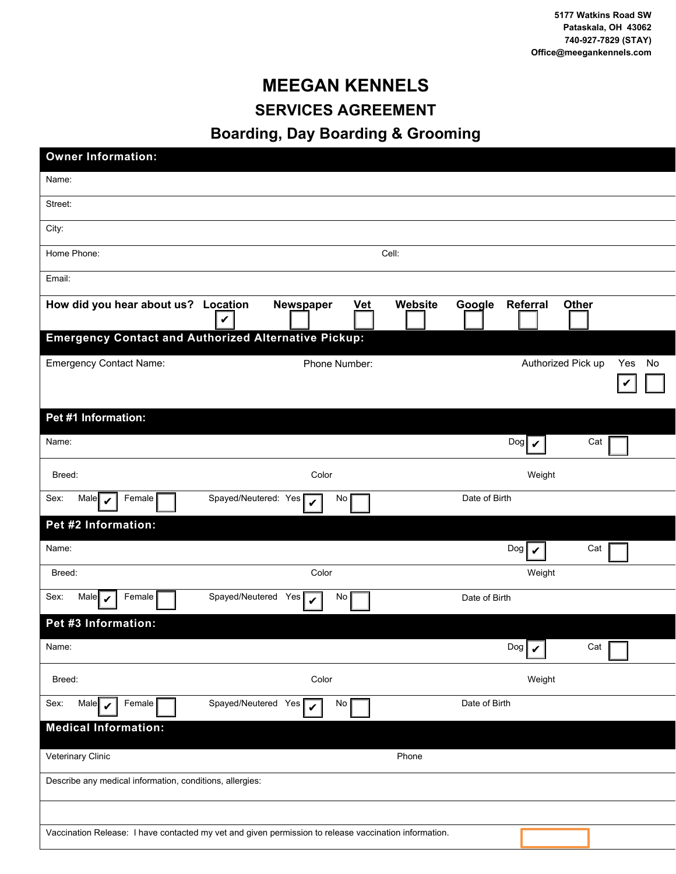## **MEEGAN KENNELS SERVICES AGREEMENT**

## **Boarding, Day Boarding & Grooming**

| <b>Owner Information:</b>                                                                             |                                        |  |  |
|-------------------------------------------------------------------------------------------------------|----------------------------------------|--|--|
| Name:                                                                                                 |                                        |  |  |
| Street:                                                                                               |                                        |  |  |
| City:                                                                                                 |                                        |  |  |
| Home Phone:                                                                                           | Cell:                                  |  |  |
| Email:                                                                                                |                                        |  |  |
| How did you hear about us? Location<br>Newspaper<br><b>Vet</b><br>V                                   | Website<br>Google<br>Referral<br>Other |  |  |
| <b>Emergency Contact and Authorized Alternative Pickup:</b>                                           |                                        |  |  |
| <b>Emergency Contact Name:</b><br>Phone Number:                                                       | Authorized Pick up<br>Yes<br>No        |  |  |
| Pet #1 Information:                                                                                   |                                        |  |  |
| Name:                                                                                                 | $\log$<br>Cat                          |  |  |
| Color<br>Breed:                                                                                       | Weight                                 |  |  |
| Spayed/Neutered: Yes<br>Sex:<br>Female<br>Male $\blacktriangleright$<br>No<br>$\checkmark$            | Date of Birth                          |  |  |
| Pet #2 Information:                                                                                   |                                        |  |  |
| Name:                                                                                                 | $\log  \mathbf{v} $<br>Cat             |  |  |
| Breed:<br>Color                                                                                       | Weight                                 |  |  |
| Female<br>Spayed/Neutered Yes $\triangledown$<br>Sex:<br>Male $\mathbf{\triangledown}$<br>No          | Date of Birth                          |  |  |
| Pet #3 Information:                                                                                   |                                        |  |  |
| Name:                                                                                                 | $\log  \mathcal{V} $<br>Cat $\Gamma$   |  |  |
| Color<br>Breed:                                                                                       | Weight                                 |  |  |
| Female<br>Spayed/Neutered Yes<br>Sex:<br>Male $\mathcal V$<br>No<br>$\checkmark$                      | Date of Birth                          |  |  |
| <b>Medical Information:</b>                                                                           |                                        |  |  |
| Veterinary Clinic                                                                                     | Phone                                  |  |  |
| Describe any medical information, conditions, allergies:                                              |                                        |  |  |
|                                                                                                       |                                        |  |  |
| Vaccination Release: I have contacted my vet and given permission to release vaccination information. |                                        |  |  |
|                                                                                                       |                                        |  |  |